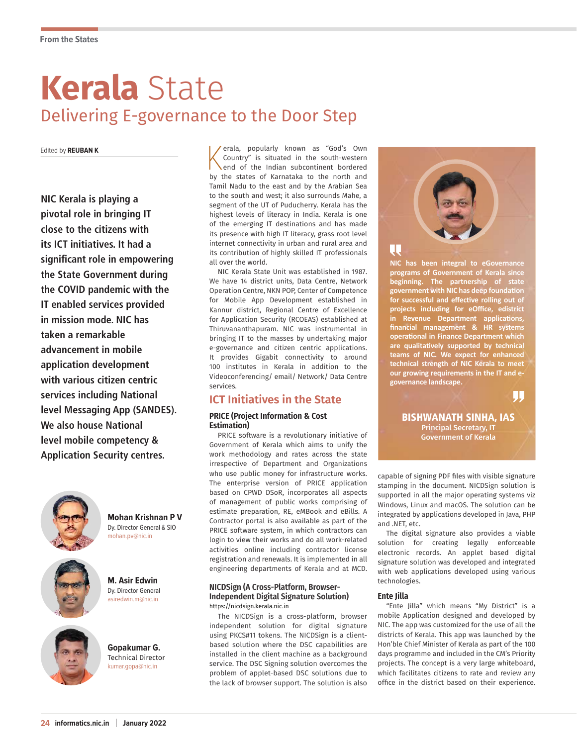# **Kerala** State Delivering E-governance to the Door Step

Edited by **REUBAN K**

**NIC Kerala is playing a pivotal role in bringing IT close to the citizens with its ICT initiatives. It had a significant role in empowering the State Government during the COVID pandemic with the IT enabled services provided in mission mode. NIC has taken a remarkable advancement in mobile application development with various citizen centric services including National level Messaging App (SANDES). We also house National level mobile competency & Application Security centres.**



**Mohan Krishnan P V** Dy. Director General & SIO mohan.pv@nic.in



asiredwin.m@nic.in

**Gopakumar G.** Technical Director kumar.gopa@nic.in

**M. Asir Edwin** Dy. Director General kerala, popularly known as "God's Own<br>Country" is situated in the south-western<br>end of the Indian subcontinent bordered<br>by the states of Karnataka to the north and erala, popularly known as "God's Own Country" is situated in the south-western end of the Indian subcontinent bordered Tamil Nadu to the east and by the Arabian Sea to the south and west; it also surrounds Mahe, a segment of the UT of Puducherry. Kerala has the highest levels of literacy in India. Kerala is one of the emerging IT destinations and has made its presence with high IT literacy, grass root level internet connectivity in urban and rural area and its contribution of highly skilled IT professionals all over the world.

NIC Kerala State Unit was established in 1987. We have 14 district units, Data Centre, Network Operation Centre, NKN POP, Center of Competence for Mobile App Development established in Kannur district, Regional Centre of Excellence for Application Security (RCOEAS) established at Thiruvananthapuram. NIC was instrumental in bringing IT to the masses by undertaking major e-governance and citizen centric applications. It provides Gigabit connectivity to around 100 institutes in Kerala in addition to the Videoconferencing/ email/ Network/ Data Centre services.

# **ICT Initiatives in the State**

### **PRICE (Project Information & Cost Estimation)**

PRICE software is a revolutionary initiative of Government of Kerala which aims to unify the work methodology and rates across the state irrespective of Department and Organizations who use public money for infrastructure works. The enterprise version of PRICE application based on CPWD DSoR, incorporates all aspects of management of public works comprising of estimate preparation, RE, eMBook and eBills. A Contractor portal is also available as part of the PRICE software system, in which contractors can login to view their works and do all work-related activities online including contractor license registration and renewals. It is implemented in all engineering departments of Kerala and at MCD.

#### **NICDSign (A Cross-Platform, Browser-Independent Digital Signature Solution)** https://nicdsign.kerala.nic.in

The NICDSign is a cross-platform, browser independent solution for digital signature using PKCS#11 tokens. The NICDSign is a clientbased solution where the DSC capabilities are installed in the client machine as a background service. The DSC Signing solution overcomes the problem of applet-based DSC solutions due to the lack of browser support. The solution is also



**NIC has been integral to eGovernance programs of Government of Kerala since beginning. The partnership of state government with NIC has deep foundation for successful and effective rolling out of projects including for eOffice, edistrict in Revenue Department applications, financial management & HR systems operational in Finance Department which are qualitatively supported by technical teams of NIC. We expect for enhanced technical strength of NIC Kerala to meet our growing requirements in the IT and egovernance landscape.**

W

BISHWANATH SINHA, IAS Principal Secretary, IT Government of Kerala

capable of signing PDF files with visible signature stamping in the document. NICDSign solution is supported in all the major operating systems viz Windows, Linux and macOS. The solution can be integrated by applications developed in Java, PHP and .NET, etc.

The digital signature also provides a viable solution for creating legally enforceable electronic records. An applet based digital signature solution was developed and integrated with web applications developed using various technologies.

### **Ente Jilla**

"Ente Jilla" which means "My District" is a mobile Application designed and developed by NIC. The app was customized for the use of all the districts of Kerala. This app was launched by the Hon'ble Chief Minister of Kerala as part of the 100 days programme and included in the CM's Priority projects. The concept is a very large whiteboard, which facilitates citizens to rate and review any office in the district based on their experience.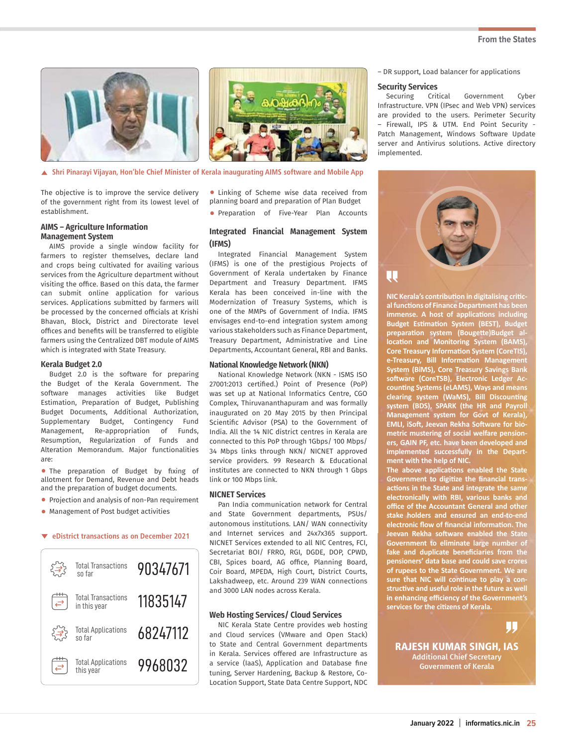#### **From the States**



**Shri Pinarayi Vijayan, Hon'ble Chief Minister of Kerala inaugurating AIMS software and Mobile App**

The objective is to improve the service delivery of the government right from its lowest level of establishment.

#### **AIMS – Agriculture Information Management System**

AIMS provide a single window facility for farmers to register themselves, declare land and crops being cultivated for availing various services from the Agriculture department without visiting the office. Based on this data, the farmer can submit online application for various services. Applications submitted by farmers will be processed by the concerned officials at Krishi Bhavan, Block, District and Directorate level offices and benefits will be transferred to eligible farmers using the Centralized DBT module of AIMS which is integrated with State Treasury.

#### **Kerala Budget 2.0**

Budget 2.0 is the software for preparing the Budget of the Kerala Government. The software manages activities like Budget Estimation, Preparation of Budget, Publishing Budget Documents, Additional Authorization, Supplementary Budget, Contingency Fund Management, Re-appropriation of Funds, Resumption, Regularization of Funds and Alteration Memorandum. Major functionalities are:

• The preparation of Budget by fixing of allotment for Demand, Revenue and Debt heads and the preparation of budget documents.

- Projection and analysis of non-Pan requirement
- Management of Post budget activities

#### **eDistrict transactions as on December 2021**



• Linking of Scheme wise data received from planning board and preparation of Plan Budget

• Preparation of Five-Year Plan Accounts

### **Integrated Financial Management System (IFMS)**

Integrated Financial Management System (IFMS) is one of the prestigious Projects of Government of Kerala undertaken by Finance Department and Treasury Department. IFMS Kerala has been conceived in-line with the Modernization of Treasury Systems, which is one of the MMPs of Government of India. IFMS envisages end-to-end integration system among various stakeholders such as Finance Department, Treasury Department, Administrative and Line Departments, Accountant General, RBI and Banks.

#### **National Knowledge Network (NKN)**

National Knowledge Network (NKN - ISMS ISO 27001:2013 certified.) Point of Presence (PoP) was set up at National Informatics Centre, CGO Complex, Thiruvananthapuram and was formally inaugurated on 20 May 2015 by then Principal Scientific Advisor (PSA) to the Government of India. All the 14 NIC district centres in Kerala are connected to this PoP through 1Gbps/ 100 Mbps/ 34 Mbps links through NKN/ NICNET approved service providers. 99 Research & Educational institutes are connected to NKN through 1 Gbps link or 100 Mbps link.

#### **NICNET Services**

Pan India communication network for Central and State Government departments, PSUs/ autonomous institutions. LAN/ WAN connectivity and Internet services and 24x7x365 support. NICNET Services extended to all NIC Centres, FCI, Secretariat BOI/ FRRO, RGI, DGDE, DOP, CPWD, CBI, Spices board, AG office, Planning Board, Coir Board, MPEDA, High Court, District Courts, Lakshadweep, etc. Around 239 WAN connections and 3000 LAN nodes across Kerala.

#### **Web Hosting Services/ Cloud Services**

NIC Kerala State Centre provides web hosting and Cloud services (VMware and Open Stack) to State and Central Government departments in Kerala. Services offered are Infrastructure as a service (IaaS), Application and Database fine tuning, Server Hardening, Backup & Restore, Co-Location Support, State Data Centre Support, NDC – DR support, Load balancer for applications

#### **Security Services**

Securing Critical Government Cyber Infrastructure. VPN (IPsec and Web VPN) services are provided to the users. Perimeter Security – Firewall, IPS & UTM. End Point Security - Patch Management, Windows Software Update server and Antivirus solutions. Active directory implemented.



**NIC Kerala's contribution in digitalising critical functions of Finance Department has been immense. A host of applications including Budget Estimation System (BEST), Budget preparation system (Bougette)Budget allocation and Monitoring System (BAMS), Core Treasury Information System (CoreTIS), e-Treasury, Bill Information Management System (BiMS), Core Treasury Savings Bank software (CoreTSB), Electronic Ledger Accounting Systems (eLAMS), Ways and means clearing system (WaMS), Bill Discounting system (BDS), SPARK (the HR and Payroll Management system for Govt of Kerala), EMLI, iSoft, Jeevan Rekha Software for biometric mustering of social welfare pensioners, GAIN PF, etc. have been developed and implemented successfully in the Department with the help of NIC.**

**The above applications enabled the State Government to digitize the financial transactions in the State and integrate the same electronically with RBI, various banks and office of the Accountant General and other stake holders and ensured an end-to-end electronic flow of financial information. The Jeevan Rekha software enabled the State Government to eliminate large number of fake and duplicate beneficiaries from the pensioners' data base and could save crores of rupees to the State Government. We are sure that NIC will continue to play a constructive and useful role in the future as well in enhancing efficiency of the Government's services for the citizens of Kerala.**

JIJ

RAJESH KUMAR SINGH, IAS Additional Chief Secretary Government of Kerala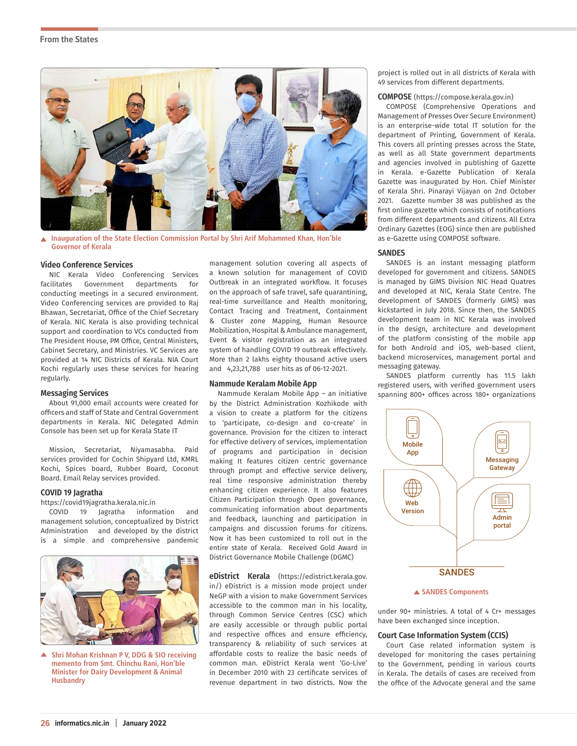#### **From the States**



**Inauguration of the State Election Commission Portal by Shri Arif Mohammed Khan, Hon'ble**   $\blacktriangle$ **Governor of Kerala**

#### **Video Conference Services**

NIC Kerala Video Conferencing Services facilitates Government departments for conducting meetings in a secured environment. Video Conferencing services are provided to Raj Bhawan, Secretariat, Office of the Chief Secretary of Kerala. NIC Kerala is also providing technical support and coordination to VCs conducted from The President House, PM Office, Central Ministers, Cabinet Secretary, and Ministries. VC Services are provided at 14 NIC Districts of Kerala. NIA Court Kochi regularly uses these services for hearing regularly.

#### **Messaging Services**

About 91,000 email accounts were created for officers and staff of State and Central Government departments in Kerala. NIC Delegated Admin Console has been set up for Kerala State IT

Mission, Secretariat, Niyamasabha. Paid services provided for Cochin Shipyard Ltd, KMRL Kochi, Spices board, Rubber Board, Coconut Board. Email Relay services provided.

#### **COVID 19 Jagratha**

https://covid19jagratha.kerala.nic.in

COVID 19 Jagratha information and management solution, conceptualized by District Administration and developed by the district is a simple and comprehensive pandemic



**Shri Mohan Krishnan P V, DDG & SIO receiving**   $\blacktriangle$ **memento from Smt. Chinchu Rani, Hon'ble Minister for Dairy Development & Animal Husbandry**

management solution covering all aspects of a known solution for management of COVID Outbreak in an integrated workflow. It focuses on the approach of safe travel, safe quarantining, real-time surveillance and Health monitoring, Contact Tracing and Treatment, Containment & Cluster zone Mapping, Human Resource Mobilization, Hospital & Ambulance management, Event & visitor registration as an integrated system of handling COVID 19 outbreak effectively. More than 2 lakhs eighty thousand active users and 4,23,21,788 user hits as of 06-12-2021.

#### **Nammude Keralam Mobile App**

Nammude Keralam Mobile App – an initiative by the District Administration Kozhikode with a vision to create a platform for the citizens to 'participate, co-design and co-create' in governance. Provision for the citizen to interact for effective delivery of services, implementation of programs and participation in decision making It features citizen centric governance through prompt and effective service delivery, real time responsive administration thereby enhancing citizen experience. It also features Citizen Participation through Open governance, communicating information about departments and feedback, launching and participation in campaigns and discussion forums for citizens. Now it has been customized to roll out in the entire state of Kerala. Received Gold Award in District Governance Mobile Challenge (DGMC)

**eDistrict Kerala** (https://edistrict.kerala.gov. in/) eDistrict is a mission mode project under NeGP with a vision to make Government Services accessible to the common man in his locality, through Common Service Centres (CSC) which are easily accessible or through public portal and respective offices and ensure efficiency, transparency & reliability of such services at affordable costs to realize the basic needs of common man. eDistrict Kerala went 'Go-Live' in December 2010 with 23 certificate services of revenue department in two districts. Now the

project is rolled out in all districts of Kerala with 49 services from different departments.

#### **COMPOSE** (https://compose.kerala.gov.in)

COMPOSE (Comprehensive Operations and Management of Presses Over Secure Environment) is an enterprise-wide total IT solution for the department of Printing, Government of Kerala. This covers all printing presses across the State, as well as all State government departments and agencies involved in publishing of Gazette in Kerala. e-Gazette Publication of Kerala Gazette was inaugurated by Hon. Chief Minister of Kerala Shri. Pinarayi Vijayan on 2nd October 2021. Gazette number 38 was published as the first online gazette which consists of notifications from different departments and citizens. All Extra Ordinary Gazettes (EOG) since then are published as e-Gazette using COMPOSE software.

#### **SANDES**

SANDES is an instant messaging platform developed for government and citizens. SANDES is managed by GIMS Division NIC Head Quatres and developed at NIC, Kerala State Centre. The development of SANDES (formerly GIMS) was kickstarted in July 2018. Since then, the SANDES development team in NIC Kerala was involved in the design, architecture and development of the platform consisting of the mobile app for both Android and iOS, web-based client, backend microservices, management portal and messaging gateway.

SANDES platform currently has 11.5 lakh registered users, with verified government users spanning 800+ offices across 180+ organizations



#### **SANDES Components**

under 90+ ministries. A total of 4 Cr+ messages have been exchanged since inception.

#### **Court Case Information System (CCIS)**

Court Case related information system is developed for monitoring the cases pertaining to the Government, pending in various courts in Kerala. The details of cases are received from the office of the Advocate general and the same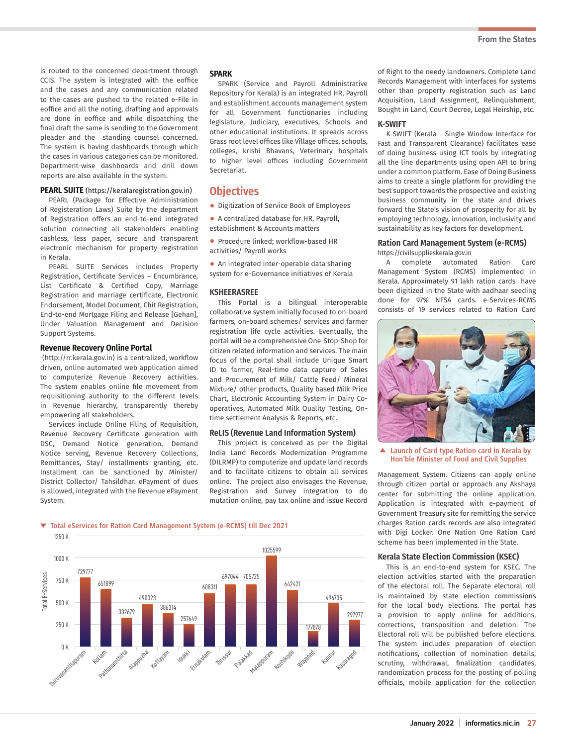is routed to the concerned department through CCIS. The system is integrated with the eoffice and the cases and any communication related to the cases are pushed to the related e-File in eoffice and all the noting, drafting and approvals are done in eoffice and while dispatching the final draft the same is sending to the Government pleader and the standing counsel concerned. The system is having dashboards through which the cases in various categories can be monitored. Department-wise dashboards and drill down reports are also available in the system.

#### **PEARL SUITE** (https://keralaregistration.gov.in)

PEARL (Package for Effective Administration of Registeration Laws) Suite by the department of Registration offers an end-to-end integrated solution connecting all stakeholders enabling cashless, less paper, secure and transparent electronic mechanism for property registration in Kerala.

PEARL SUITE Services includes Property Registration, Certificate Services – Encumbrance, List Certificate & Certified Copy, Marriage Registration and marriage certificate, Electronic Endorsement, Model Document, Chit Registration, End-to-end Mortgage Filing and Release [Gehan], Under Valuation Management and Decision Support Systems.

#### **Revenue Recovery Online Portal**

(http://rr.kerala.gov.in) is a centralized, workflow driven, online automated web application aimed to computerize Revenue Recovery activities. The system enables online file movement from requisitioning authority to the different levels in Revenue hierarchy, transparently thereby empowering all stakeholders.

Services include Online Filing of Requisition, Revenue Recovery Certificate generation with DSC, Demand Notice generation, Demand Notice serving, Revenue Recovery Collections, Remittances, Stay/ installments granting, etc. Installment can be sanctioned by Minister/ District Collector/ Tahsildhar. ePayment of dues is allowed, integrated with the Revenue ePayment System.

#### **SPARK**

SPARK (Service and Payroll Administrative Repository for Kerala) is an integrated HR, Payroll and establishment accounts management system for all Government functionaries including legislature, Judiciary, executives, Schools and other educational institutions. It spreads across Grass root level offices like Village offices, schools, colleges, krishi Bhavans, Veterinary hospitals to higher level offices including Government Secretariat.

# **Objectives**

- Digitization of Service Book of Employees
- A centralized database for HR, Payroll, establishment & Accounts matters
- Procedure linked; workflow-based HR activities/ Payroll works
- An integrated inter-operable data sharing system for e-Governance initiatives of Kerala

#### **KSHEERASREE**

This Portal is a bilingual interoperable collaborative system initially focused to on-board farmers, on-board schemes/ services and farmer registration life cycle activities. Eventually, the portal will be a comprehensive One-Stop-Shop for citizen related information and services. The main focus of the portal shall include Unique Smart ID to farmer, Real-time data capture of Sales and Procurement of Milk/ Cattle Feed/ Mineral Mixture/ other products, Quality based Milk Price Chart, Electronic Accounting System in Dairy Cooperatives, Automated Milk Quality Testing, Ontime settlement Analysis & Reports, etc.

#### **ReLIS (Revenue Land Information System)**

This project is conceived as per the Digital India Land Records Modernization Programme (DILRMP) to computerize and update land records and to facilitate citizens to obtain all services online. The project also envisages the Revenue, Registration and Survey integration to do mutation online, pay tax online and issue Record of Right to the needy landowners. Complete Land Records Management with interfaces for systems other than property registration such as Land Acquisition, Land Assignment, Relinquishment, Bought in Land, Court Decree, Legal Heirship, etc.

#### **K-SWIFT**

K-SWIFT (Kerala - Single Window Interface for Fast and Transparent Clearance) facilitates ease of doing business using ICT tools by integrating all the line departments using open API to bring under a common platform. Ease of Doing Business aims to create a single platform for providing the best support towards the prospective and existing business community in the state and drives forward the State's vision of prosperity for all by employing technology, innovation, inclusivity and sustainability as key factors for development.

# **Ration Card Management System (e-RCMS)**

https://civilsupplieskerala.gov.in

A complete automated Ration Card Management System (RCMS) implemented in Kerala. Approximately 91 lakh ration cards have been digitized in the State with aadhaar seeding done for 97% NFSA cards. e-Services-RCMS consists of 19 services related to Ration Card



**Launch of Card type Ration card in Kerala by Hon'ble Minister of Food and Civil Supplies**

Management System. Citizens can apply online through citizen portal or approach any Akshaya center for submitting the online application. Application is integrated with e-payment of Government Treasury site for remitting the service charges Ration cards records are also integrated with Digi Locker. One Nation One Ration Card scheme has been implemented in the State.

#### **Kerala State Election Commission (KSEC)**

This is an end-to-end system for KSEC. The election activities started with the preparation of the electoral roll. The Separate electoral roll is maintained by state election commissions for the local body elections. The portal has a provision to apply online for additions, corrections, transposition and deletion. The Electoral roll will be published before elections. The system includes preparation of election notifications, collection of nomination details, scrutiny, withdrawal, finalization candidates, randomization process for the posting of polling officials, mobile application for the collection

# **Total eServices for Ration Card Management System (e-RCMS) till Dec 2021**

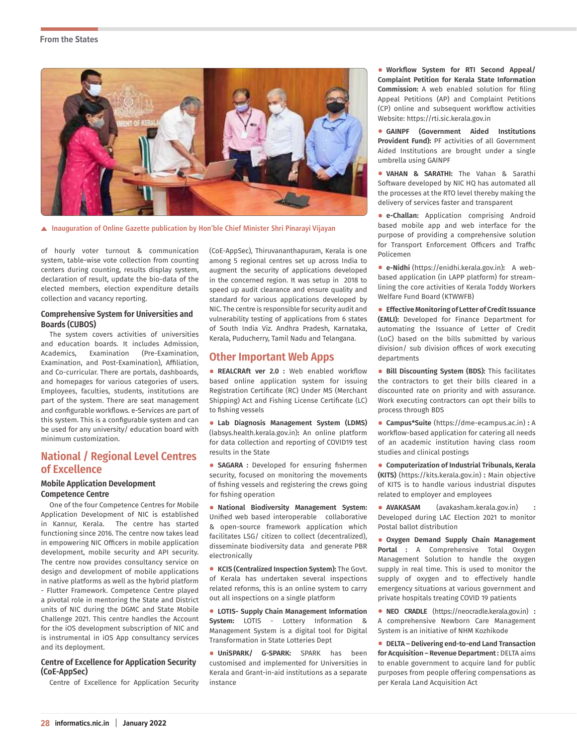#### **From the States**



**Inauguration of Online Gazette publication by Hon'ble Chief Minister Shri Pinarayi Vijayan**

of hourly voter turnout & communication system, table-wise vote collection from counting centers during counting, results display system, declaration of result, update the bio-data of the elected members, election expenditure details collection and vacancy reporting.

#### **Comprehensive System for Universities and Boards (CUBOS)**

The system covers activities of universities and education boards. It includes Admission, Academics, Examination (Pre-Examination, Examination, and Post-Examination), Affiliation, and Co-curricular. There are portals, dashboards, and homepages for various categories of users. Employees, faculties, students, institutions are part of the system. There are seat management and configurable workflows. e-Services are part of this system. This is a configurable system and can be used for any university/ education board with minimum customization.

# **National / Regional Level Centres of Excellence**

#### **Mobile Application Development Competence Centre**

One of the four Competence Centres for Mobile Application Development of NIC is established in Kannur, Kerala. The centre has started functioning since 2016. The centre now takes lead in empowering NIC Officers in mobile application development, mobile security and API security. The centre now provides consultancy service on design and development of mobile applications in native platforms as well as the hybrid platform - Flutter Framework. Competence Centre played a pivotal role in mentoring the State and District units of NIC during the DGMC and State Mobile Challenge 2021. This centre handles the Account for the iOS development subscription of NIC and is instrumental in iOS App consultancy services and its deployment.

#### **Centre of Excellence for Application Security (CoE-AppSec)**

Centre of Excellence for Application Security

(CoE-AppSec), Thiruvananthapuram, Kerala is one among 5 regional centres set up across India to augment the security of applications developed in the concerned region. It was setup in 2018 to speed up audit clearance and ensure quality and standard for various applications developed by NIC. The centre is responsible for security audit and vulnerability testing of applications from 6 states of South India Viz. Andhra Pradesh, Karnataka, Kerala, Puducherry, Tamil Nadu and Telangana.

# **Other Important Web Apps**

• **REALCRAft ver 2.0 :** Web enabled workflow based online application system for issuing Registration Certificate (RC) Under MS (Merchant Shipping) Act and Fishing License Certificate (LC) to fishing vessels

• **Lab Diagnosis Management System (LDMS)**  (labsys.health.kerala.gov.in)**:** An online platform for data collection and reporting of COVID19 test results in the State

• **SAGARA :** Developed for ensuring fishermen security, focused on monitoring the movements of fishing vessels and registering the crews going for fishing operation

• **National Biodiversity Management System:** Unified web based interoperable collaborative & open-source framework application which facilitates LSG/ citizen to collect (decentralized), disseminate biodiversity data and generate PBR electronically

• **KCIS (Centralized Inspection System):** The Govt. of Kerala has undertaken several inspections related reforms, this is an online system to carry out all inspections on a single platform

• **LOTIS- Supply Chain Management Information System:** LOTIS - Lottery Information & Management System is a digital tool for Digital Transformation in State Lotteries Dept

• **UniSPARK/ G-SPARK:** SPARK has been customised and implemented for Universities in Kerala and Grant-in-aid institutions as a separate instance

• **Workflow System for RTI Second Appeal/ Complaint Petition for Kerala State Information Commission:** A web enabled solution for filing Appeal Petitions (AP) and Complaint Petitions (CP) online and subsequent workflow activities Website: https://rti.sic.kerala.gov.in

• **GAINPF (Government Aided Institutions Provident Fund):** PF activities of all Government Aided Institutions are brought under a single umbrella using GAINPF

• **VAHAN & SARATHI:** The Vahan & Sarathi Software developed by NIC HQ has automated all the processes at the RTO level thereby making the delivery of services faster and transparent

• **e-Challan:** Application comprising Android based mobile app and web interface for the purpose of providing a comprehensive solution for Transport Enforcement Officers and Traffic Policemen

• **e-Nidhi** (https://enidhi.kerala.gov.in)**:** A webbased application (in LAPP platform) for streamlining the core activities of Kerala Toddy Workers Welfare Fund Board (KTWWFB)

• **Effective Monitoring of Letter of Credit Issuance (EMLI):** Developed for Finance Department for automating the Issuance of Letter of Credit (LoC) based on the bills submitted by various division/ sub division offices of work executing departments

• **Bill Discounting System (BDS):** This facilitates the contractors to get their bills cleared in a discounted rate on priority and with assurance. Work executing contractors can opt their bills to process through BDS

• **Campus\*Suite** (https://dme-ecampus.ac.in) **:** <sup>A</sup> workflow-based application for catering all needs of an academic institution having class room studies and clinical postings

• **Computerization of Industrial Tribunals, Kerala (KITS)** (https://kits.kerala.gov.in) **:** Main objective of KITS is to handle various industrial disputes related to employer and employees

• **AVAKASAM** (avakasham.kerala.gov.in) **:** Developed during LAC Election 2021 to monitor Postal ballot distribution

• **Oxygen Demand Supply Chain Management Portal :** A Comprehensive Total Oxygen Management Solution to handle the oxygen supply in real time. This is used to monitor the supply of oxygen and to effectively handle emergency situations at various government and private hospitals treating COVID 19 patients

• **NEO CRADLE** (https://neocradle.kerala.gov.in) **:** A comprehensive Newborn Care Management System is an initiative of NHM Kozhikode

• **DELTA – Delivering end-to-end Land Transaction for Acquisition – Revenue Department :** DELTA aims to enable government to acquire land for public purposes from people offering compensations as per Kerala Land Acquisition Act